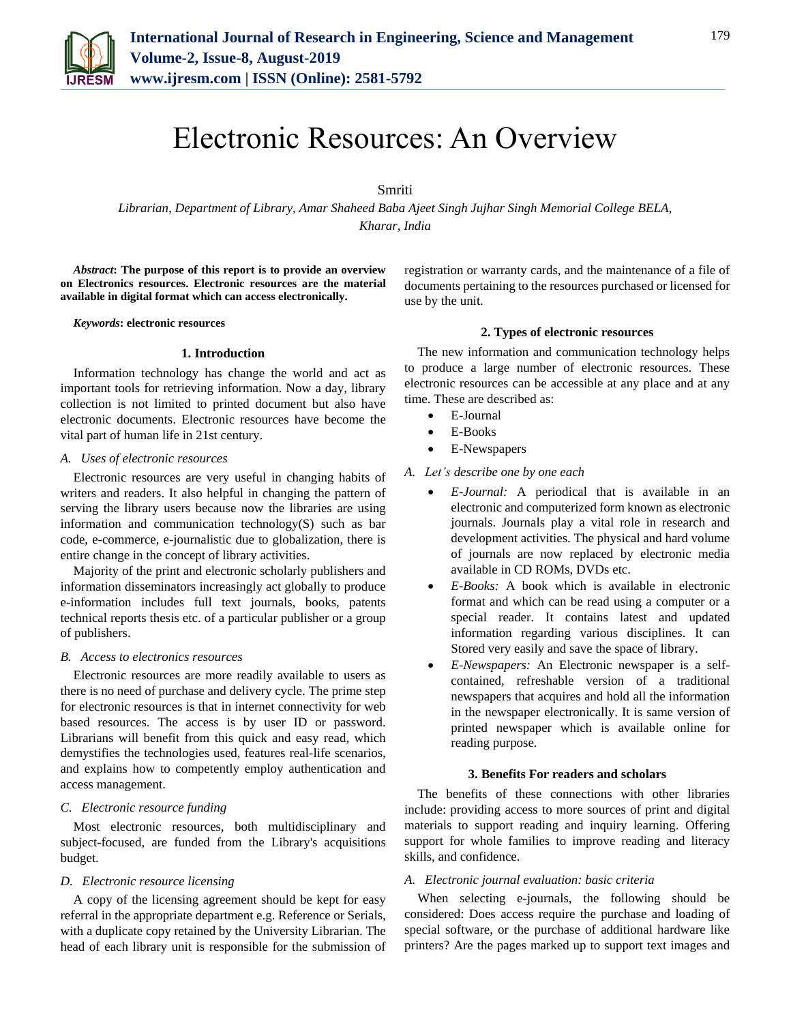

# Electronic Resources: An Overview

Smriti

*Librarian, Department of Library, Amar Shaheed Baba Ajeet Singh Jujhar Singh Memorial College BELA, Kharar, India*

*Abstract***: The purpose of this report is to provide an overview on Electronics resources. Electronic resources are the material available in digital format which can access electronically.**

*Keywords***: electronic resources**

## **1. Introduction**

Information technology has change the world and act as important tools for retrieving information. Now a day, library collection is not limited to printed document but also have electronic documents. Electronic resources have become the vital part of human life in 21st century.

#### *A. Uses of electronic resources*

Electronic resources are very useful in changing habits of writers and readers. It also helpful in changing the pattern of serving the library users because now the libraries are using information and communication technology(S) such as bar code, e-commerce, e-journalistic due to globalization, there is entire change in the concept of library activities.

Majority of the print and electronic scholarly publishers and information disseminators increasingly act globally to produce e-information includes full text journals, books, patents technical reports thesis etc. of a particular publisher or a group of publishers.

### *B. Access to electronics resources*

Electronic resources are more readily available to users as there is no need of purchase and delivery cycle. The prime step for electronic resources is that in internet connectivity for web based resources. The access is by user ID or password. Librarians will benefit from this quick and easy read, which demystifies the technologies used, features real-life scenarios, and explains how to competently employ authentication and access management.

## *C. Electronic resource funding*

Most electronic resources, both multidisciplinary and subject-focused, are funded from the Library's acquisitions budget.

# *D. Electronic resource licensing*

A copy of the licensing agreement should be kept for easy referral in the appropriate department e.g. Reference or Serials, with a duplicate copy retained by the University Librarian. The head of each library unit is responsible for the submission of

registration or warranty cards, and the maintenance of a file of documents pertaining to the resources purchased or licensed for use by the unit.

## **2. Types of electronic resources**

The new information and communication technology helps to produce a large number of electronic resources. These electronic resources can be accessible at any place and at any time. These are described as:

- E-Journal
- E-Books
- E-Newspapers

### *A. Let's describe one by one each*

- *E-Journal:* A periodical that is available in an electronic and computerized form known as electronic journals. Journals play a vital role in research and development activities. The physical and hard volume of journals are now replaced by electronic media available in CD ROMs, DVDs etc.
- *E-Books:* A book which is available in electronic format and which can be read using a computer or a special reader. It contains latest and updated information regarding various disciplines. It can Stored very easily and save the space of library.
- *E-Newspapers:* An Electronic newspaper is a selfcontained, refreshable version of a traditional newspapers that acquires and hold all the information in the newspaper electronically. It is same version of printed newspaper which is available online for reading purpose.

## **3. Benefits For readers and scholars**

The benefits of these connections with other libraries include: providing access to more sources of print and digital materials to support reading and inquiry learning. Offering support for whole families to improve reading and literacy skills, and confidence.

#### *A. Electronic journal evaluation: basic criteria*

When selecting e-journals, the following should be considered: Does access require the purchase and loading of special software, or the purchase of additional hardware like printers? Are the pages marked up to support text images and